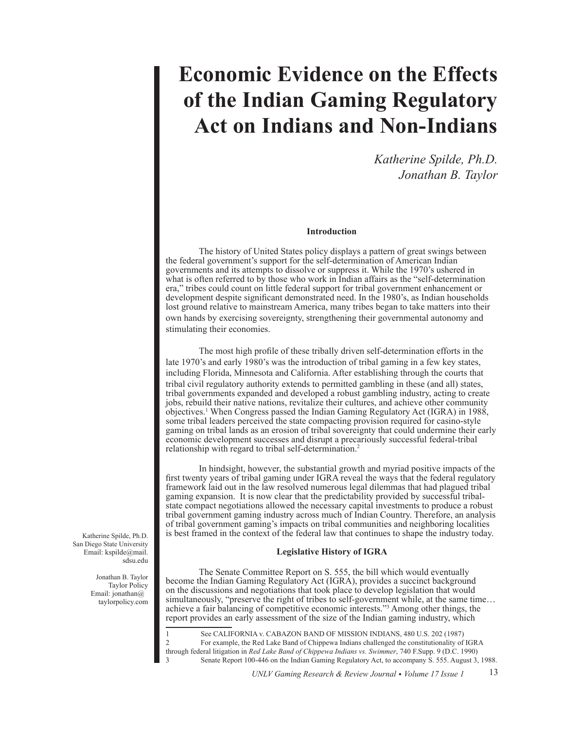# **Economic Evidence on the Effects of the Indian Gaming Regulatory Act on Indians and Non-Indians**

*Katherine Spilde, Ph.D. Jonathan B. Taylor*

# **Introduction**

The history of United States policy displays a pattern of great swings between the federal government's support for the self-determination of American Indian governments and its attempts to dissolve or suppress it. While the 1970's ushered in what is often referred to by those who work in Indian affairs as the "self-determination" era," tribes could count on little federal support for tribal government enhancement or development despite significant demonstrated need. In the 1980's, as Indian households lost ground relative to mainstream America, many tribes began to take matters into their own hands by exercising sovereignty, strengthening their governmental autonomy and stimulating their economies.

The most high profile of these tribally driven self-determination efforts in the late 1970's and early 1980's was the introduction of tribal gaming in a few key states, including Florida, Minnesota and California. After establishing through the courts that tribal civil regulatory authority extends to permitted gambling in these (and all) states, tribal governments expanded and developed a robust gambling industry, acting to create jobs, rebuild their native nations, revitalize their cultures, and achieve other community objectives.1 When Congress passed the Indian Gaming Regulatory Act (IGRA) in 1988, some tribal leaders perceived the state compacting provision required for casino-style gaming on tribal lands as an erosion of tribal sovereignty that could undermine their early economic development successes and disrupt a precariously successful federal-tribal relationship with regard to tribal self-determination.2

In hindsight, however, the substantial growth and myriad positive impacts of the first twenty years of tribal gaming under IGRA reveal the ways that the federal regulatory framework laid out in the law resolved numerous legal dilemmas that had plagued tribal gaming expansion. It is now clear that the predictability provided by successful tribalstate compact negotiations allowed the necessary capital investments to produce a robust tribal government gaming industry across much of Indian Country. Therefore, an analysis of tribal government gaming's impacts on tribal communities and neighboring localities is best framed in the context of the federal law that continues to shape the industry today.

#### **Legislative History of IGRA**

The Senate Committee Report on S. 555, the bill which would eventually become the Indian Gaming Regulatory Act (IGRA), provides a succinct background on the discussions and negotiations that took place to develop legislation that would simultaneously, "preserve the right of tribes to self-government while, at the same time… achieve a fair balancing of competitive economic interests."3 Among other things, the report provides an early assessment of the size of the Indian gaming industry, which

1 See CALIFORNIA v. CABAZON BAND OF MISSION INDIANS, 480 U.S. 202 (1987)<br>2 For example, the Red Lake Band of Chinnewa Indians challenged the constitutionality of 2 For example, the Red Lake Band of Chippewa Indians challenged the constitutionality of IGRA through federal litigation in *Red Lake Band of Chippewa Indians vs. Swimmer*, 740 F.Supp. 9 (D.C. 1990) 3 Senate Report 100-446 on the Indian Gaming Regulatory Act, to accompany S. 555. August 3, 1988.

Katherine Spilde, Ph.D. San Diego State University Email: kspilde@mail. sdsu.edu

> Jonathan B. Taylor Taylor Policy Email: jonathan@ taylorpolicy.com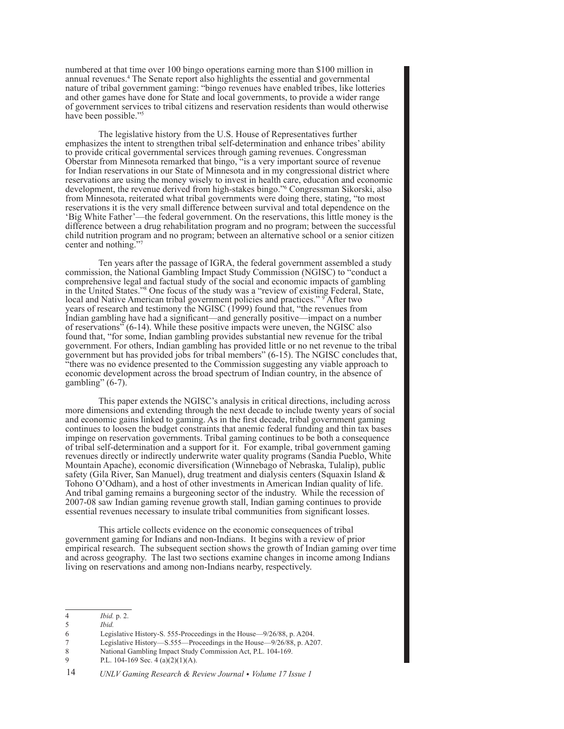numbered at that time over 100 bingo operations earning more than \$100 million in annual revenues.4 The Senate report also highlights the essential and governmental nature of tribal government gaming: "bingo revenues have enabled tribes, like lotteries and other games have done for State and local governments, to provide a wider range of government services to tribal citizens and reservation residents than would otherwise have been possible."5

The legislative history from the U.S. House of Representatives further emphasizes the intent to strengthen tribal self-determination and enhance tribes' ability to provide critical governmental services through gaming revenues. Congressman Oberstar from Minnesota remarked that bingo, "is a very important source of revenue for Indian reservations in our State of Minnesota and in my congressional district where reservations are using the money wisely to invest in health care, education and economic development, the revenue derived from high-stakes bingo."6 Congressman Sikorski, also from Minnesota, reiterated what tribal governments were doing there, stating, "to most reservations it is the very small difference between survival and total dependence on the 'Big White Father'—the federal government. On the reservations, this little money is the difference between a drug rehabilitation program and no program; between the successful child nutrition program and no program; between an alternative school or a senior citizen center and nothing."7

Ten years after the passage of IGRA, the federal government assembled a study commission, the National Gambling Impact Study Commission (NGISC) to "conduct a comprehensive legal and factual study of the social and economic impacts of gambling in the United States."<sup>8</sup> One focus of the study was a "review of existing Federal, State, local and Native American tribal government policies and practices." <sup>9</sup> After two years of research and testimony the NGISC (1999) found that, "the revenues from Indian gambling have had a significant—and generally positive—impact on a number of reservations" (6-14). While these positive impacts were uneven, the NGISC also found that, "for some, Indian gambling provides substantial new revenue for the tribal government. For others, Indian gambling has provided little or no net revenue to the tribal government but has provided jobs for tribal members" (6-15). The NGISC concludes that, "there was no evidence presented to the Commission suggesting any viable approach to economic development across the broad spectrum of Indian country, in the absence of gambling"  $(6-7)$ .

This paper extends the NGISC's analysis in critical directions, including across more dimensions and extending through the next decade to include twenty years of social and economic gains linked to gaming. As in the first decade, tribal government gaming continues to loosen the budget constraints that anemic federal funding and thin tax bases impinge on reservation governments. Tribal gaming continues to be both a consequence of tribal self-determination and a support for it. For example, tribal government gaming revenues directly or indirectly underwrite water quality programs (Sandia Pueblo, White Mountain Apache), economic diversification (Winnebago of Nebraska, Tulalip), public safety (Gila River, San Manuel), drug treatment and dialysis centers (Squaxin Island & Tohono O'Odham), and a host of other investments in American Indian quality of life. And tribal gaming remains a burgeoning sector of the industry. While the recession of 2007-08 saw Indian gaming revenue growth stall, Indian gaming continues to provide essential revenues necessary to insulate tribal communities from significant losses.

This article collects evidence on the economic consequences of tribal government gaming for Indians and non-Indians. It begins with a review of prior empirical research. The subsequent section shows the growth of Indian gaming over time and across geography. The last two sections examine changes in income among Indians living on reservations and among non-Indians nearby, respectively.

- 6 Legislative History-S. 555-Proceedings in the House—9/26/88, p. A204.
- Legislative History—S.555—Proceedings in the House—9/26/88, p. A207.
- 8 National Gambling Impact Study Commission Act, P.L. 104-169.
- 9 P.L. 104-169 Sec. 4 (a)(2)(1)(A).

<sup>4</sup> *Ibid.* p. 2.

<sup>5</sup> *Ibid.*

<sup>14</sup> *UNLV Gaming Research & Review Journal • Volume 17 Issue 1*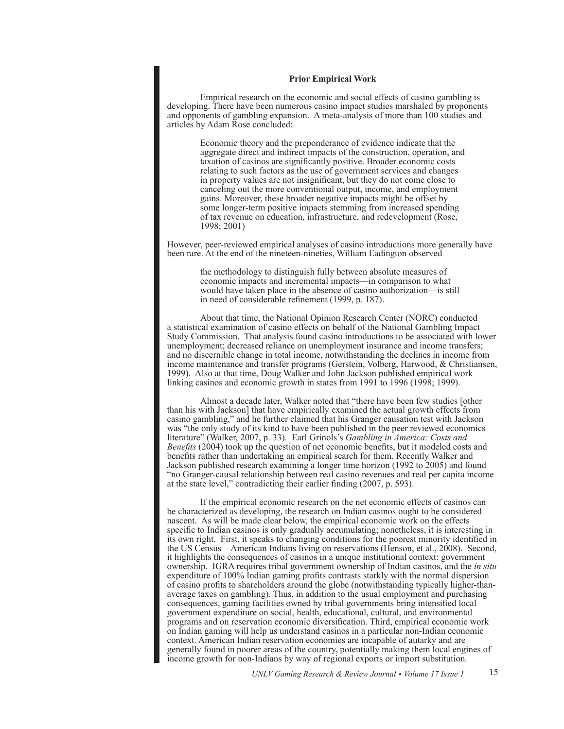# **Prior Empirical Work**

Empirical research on the economic and social effects of casino gambling is developing. There have been numerous casino impact studies marshaled by proponents and opponents of gambling expansion. A meta-analysis of more than 100 studies and articles by Adam Rose concluded:

> Economic theory and the preponderance of evidence indicate that the aggregate direct and indirect impacts of the construction, operation, and taxation of casinos are significantly positive. Broader economic costs relating to such factors as the use of government services and changes in property values are not insignificant, but they do not come close to canceling out the more conventional output, income, and employment gains. Moreover, these broader negative impacts might be offset by some longer-term positive impacts stemming from increased spending of tax revenue on education, infrastructure, and redevelopment (Rose, 1998; 2001)

However, peer-reviewed empirical analyses of casino introductions more generally have been rare. At the end of the nineteen-nineties, William Eadington observed

the methodology to distinguish fully between absolute measures of economic impacts and incremental impacts—in comparison to what would have taken place in the absence of casino authorization—is still in need of considerable refinement (1999, p. 187).

About that time, the National Opinion Research Center (NORC) conducted a statistical examination of casino effects on behalf of the National Gambling Impact Study Commission. That analysis found casino introductions to be associated with lower unemployment; decreased reliance on unemployment insurance and income transfers; and no discernible change in total income, notwithstanding the declines in income from income maintenance and transfer programs (Gerstein, Volberg, Harwood, & Christiansen, 1999). Also at that time, Doug Walker and John Jackson published empirical work linking casinos and economic growth in states from 1991 to 1996 (1998; 1999).

Almost a decade later, Walker noted that "there have been few studies [other than his with Jackson] that have empirically examined the actual growth effects from casino gambling," and he further claimed that his Granger causation test with Jackson was "the only study of its kind to have been published in the peer reviewed economics literature" (Walker, 2007, p. 33). Earl Grinols's *Gambling in America: Costs and Benefits* (2004) took up the question of net economic benefits, but it modeled costs and benefits rather than undertaking an empirical search for them. Recently Walker and Jackson published research examining a longer time horizon (1992 to 2005) and found "no Granger-causal relationship between real casino revenues and real per capita income at the state level," contradicting their earlier finding (2007, p. 593).

If the empirical economic research on the net economic effects of casinos can be characterized as developing, the research on Indian casinos ought to be considered nascent. As will be made clear below, the empirical economic work on the effects specific to Indian casinos is only gradually accumulating; nonetheless, it is interesting in its own right. First, it speaks to changing conditions for the poorest minority identified in the US Census—American Indians living on reservations (Henson, et al., 2008). Second, it highlights the consequences of casinos in a unique institutional context: government ownership. IGRA requires tribal government ownership of Indian casinos, and the *in situ* expenditure of 100% Indian gaming profits contrasts starkly with the normal dispersion of casino profits to shareholders around the globe (notwithstanding typically higher-thanaverage taxes on gambling). Thus, in addition to the usual employment and purchasing consequences, gaming facilities owned by tribal governments bring intensified local government expenditure on social, health, educational, cultural, and environmental programs and on reservation economic diversification. Third, empirical economic work on Indian gaming will help us understand casinos in a particular non-Indian economic context. American Indian reservation economies are incapable of autarky and are generally found in poorer areas of the country, potentially making them local engines of income growth for non-Indians by way of regional exports or import substitution.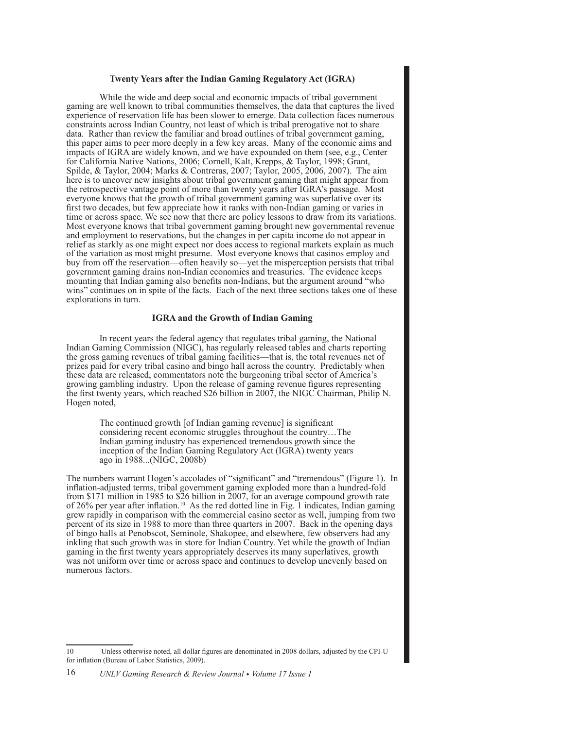#### **Twenty Years after the Indian Gaming Regulatory Act (IGRA)**

While the wide and deep social and economic impacts of tribal government gaming are well known to tribal communities themselves, the data that captures the lived experience of reservation life has been slower to emerge. Data collection faces numerous constraints across Indian Country, not least of which is tribal prerogative not to share data. Rather than review the familiar and broad outlines of tribal government gaming, this paper aims to peer more deeply in a few key areas. Many of the economic aims and impacts of IGRA are widely known, and we have expounded on them (see, e.g., Center for California Native Nations, 2006; Cornell, Kalt, Krepps, & Taylor, 1998; Grant, Spilde, & Taylor, 2004; Marks & Contreras, 2007; Taylor, 2005, 2006, 2007). The aim here is to uncover new insights about tribal government gaming that might appear from the retrospective vantage point of more than twenty years after IGRA's passage. Most everyone knows that the growth of tribal government gaming was superlative over its first two decades, but few appreciate how it ranks with non-Indian gaming or varies in time or across space. We see now that there are policy lessons to draw from its variations. Most everyone knows that tribal government gaming brought new governmental revenue and employment to reservations, but the changes in per capita income do not appear in relief as starkly as one might expect nor does access to regional markets explain as much of the variation as most might presume. Most everyone knows that casinos employ and buy from off the reservation—often heavily so—yet the misperception persists that tribal government gaming drains non-Indian economies and treasuries. The evidence keeps mounting that Indian gaming also benefits non-Indians, but the argument around "who wins" continues on in spite of the facts. Each of the next three sections takes one of these explorations in turn.

# **IGRA and the Growth of Indian Gaming**

In recent years the federal agency that regulates tribal gaming, the National Indian Gaming Commission (NIGC), has regularly released tables and charts reporting the gross gaming revenues of tribal gaming facilities—that is, the total revenues net of prizes paid for every tribal casino and bingo hall across the country. Predictably when these data are released, commentators note the burgeoning tribal sector of America's growing gambling industry. Upon the release of gaming revenue figures representing the first twenty years, which reached \$26 billion in 2007, the NIGC Chairman, Philip N. Hogen noted,

> The continued growth [of Indian gaming revenue] is significant considering recent economic struggles throughout the country…The Indian gaming industry has experienced tremendous growth since the inception of the Indian Gaming Regulatory Act (IGRA) twenty years ago in 1988...(NIGC, 2008b)

The numbers warrant Hogen's accolades of "significant" and "tremendous" (Figure 1). In inflation-adjusted terms, tribal government gaming exploded more than a hundred-fold from \$171 million in 1985 to \$26 billion in 2007, for an average compound growth rate of 26% per year after inflation.<sup>10</sup> As the red dotted line in Fig. 1 indicates, Indian gaming grew rapidly in comparison with the commercial casino sector as well, jumping from two percent of its size in 1988 to more than three quarters in 2007. Back in the opening days of bingo halls at Penobscot, Seminole, Shakopee, and elsewhere, few observers had any inkling that such growth was in store for Indian Country. Yet while the growth of Indian gaming in the first twenty years appropriately deserves its many superlatives, growth was not uniform over time or across space and continues to develop unevenly based on numerous factors.

<sup>10</sup> Unless otherwise noted, all dollar figures are denominated in 2008 dollars, adjusted by the CPI-U for inflation (Bureau of Labor Statistics, 2009).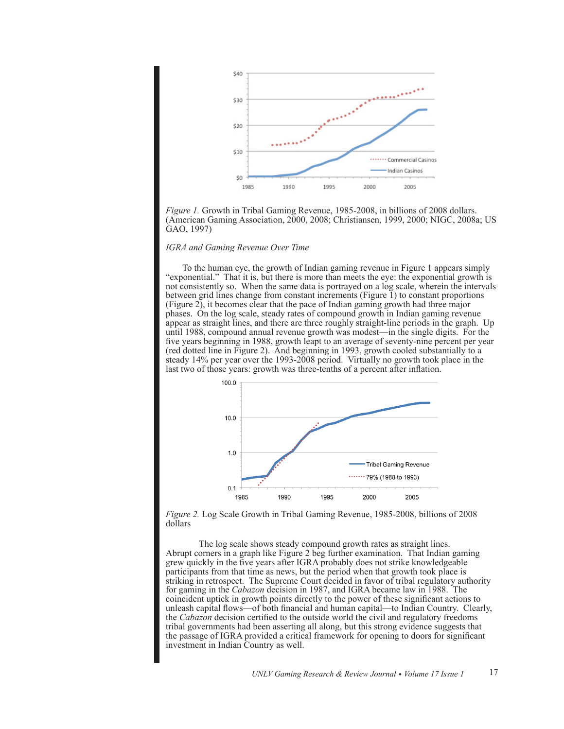

*Figure 1.* Growth in Tribal Gaming Revenue, 1985-2008, in billions of 2008 dollars. (American Gaming Association, 2000, 2008; Christiansen, 1999, 2000; NIGC, 2008a; US GAO, 1997)

# *IGRA and Gaming Revenue Over Time*

To the human eye, the growth of Indian gaming revenue in Figure 1 appears simply "exponential." That it is, but there is more than meets the eye: the exponential growth is not consistently so. When the same data is portrayed on a log scale, wherein the intervals between grid lines change from constant increments (Figure 1) to constant proportions (Figure 2), it becomes clear that the pace of Indian gaming growth had three major phases. On the log scale, steady rates of compound growth in Indian gaming revenue appear as straight lines, and there are three roughly straight-line periods in the graph. Up until 1988, compound annual revenue growth was modest—in the single digits. For the five years beginning in 1988, growth leapt to an average of seventy-nine percent per year (red dotted line in Figure 2). And beginning in 1993, growth cooled substantially to a steady 14% per year over the 1993-2008 period. Virtually no growth took place in the last two of those years: growth was three-tenths of a percent after inflation.



*Figure 2.* Log Scale Growth in Tribal Gaming Revenue, 1985-2008, billions of 2008 dollars

The log scale shows steady compound growth rates as straight lines. Abrupt corners in a graph like Figure 2 beg further examination. That Indian gaming grew quickly in the five years after IGRA probably does not strike knowledgeable participants from that time as news, but the period when that growth took place is striking in retrospect. The Supreme Court decided in favor of tribal regulatory authority for gaming in the *Cabazon* decision in 1987, and IGRA became law in 1988. The coincident uptick in growth points directly to the power of these significant actions to unleash capital flows—of both financial and human capital—to Indian Country. Clearly, the *Cabazon* decision certified to the outside world the civil and regulatory freedoms tribal governments had been asserting all along, but this strong evidence suggests that the passage of IGRA provided a critical framework for opening to doors for significant investment in Indian Country as well.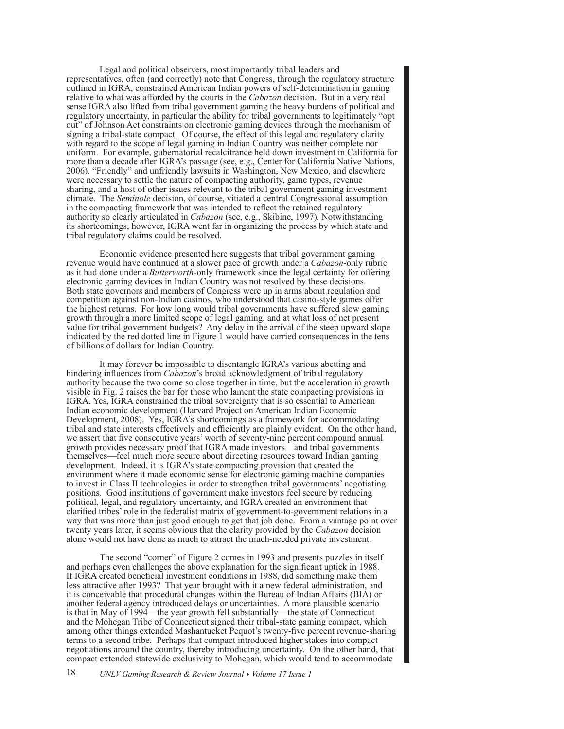Legal and political observers, most importantly tribal leaders and representatives, often (and correctly) note that Congress, through the regulatory structure outlined in IGRA, constrained American Indian powers of self-determination in gaming relative to what was afforded by the courts in the *Cabazon* decision. But in a very real sense IGRA also lifted from tribal government gaming the heavy burdens of political and regulatory uncertainty, in particular the ability for tribal governments to legitimately "opt out" of Johnson Act constraints on electronic gaming devices through the mechanism of signing a tribal-state compact. Of course, the effect of this legal and regulatory clarity with regard to the scope of legal gaming in Indian Country was neither complete nor uniform. For example, gubernatorial recalcitrance held down investment in California for more than a decade after IGRA's passage (see, e.g., Center for California Native Nations, 2006). "Friendly" and unfriendly lawsuits in Washington, New Mexico, and elsewhere were necessary to settle the nature of compacting authority, game types, revenue sharing, and a host of other issues relevant to the tribal government gaming investment climate. The *Seminole* decision, of course, vitiated a central Congressional assumption in the compacting framework that was intended to reflect the retained regulatory authority so clearly articulated in *Cabazon* (see, e.g., Skibine, 1997). Notwithstanding its shortcomings, however, IGRA went far in organizing the process by which state and tribal regulatory claims could be resolved.

Economic evidence presented here suggests that tribal government gaming revenue would have continued at a slower pace of growth under a *Cabazon*-only rubric as it had done under a *Butterworth*-only framework since the legal certainty for offering electronic gaming devices in Indian Country was not resolved by these decisions. Both state governors and members of Congress were up in arms about regulation and competition against non-Indian casinos, who understood that casino-style games offer the highest returns. For how long would tribal governments have suffered slow gaming growth through a more limited scope of legal gaming, and at what loss of net present value for tribal government budgets? Any delay in the arrival of the steep upward slope indicated by the red dotted line in Figure 1 would have carried consequences in the tens of billions of dollars for Indian Country.

It may forever be impossible to disentangle IGRA's various abetting and hindering influences from *Cabazon*'s broad acknowledgment of tribal regulatory authority because the two come so close together in time, but the acceleration in growth visible in Fig. 2 raises the bar for those who lament the state compacting provisions in IGRA. Yes, IGRA constrained the tribal sovereignty that is so essential to American Indian economic development (Harvard Project on American Indian Economic Development, 2008). Yes, IGRA's shortcomings as a framework for accommodating tribal and state interests effectively and efficiently are plainly evident. On the other hand, we assert that five consecutive years' worth of seventy-nine percent compound annual growth provides necessary proof that IGRA made investors—and tribal governments themselves—feel much more secure about directing resources toward Indian gaming development. Indeed, it is IGRA's state compacting provision that created the environment where it made economic sense for electronic gaming machine companies to invest in Class II technologies in order to strengthen tribal governments' negotiating positions. Good institutions of government make investors feel secure by reducing political, legal, and regulatory uncertainty, and IGRA created an environment that clarified tribes' role in the federalist matrix of government-to-government relations in a way that was more than just good enough to get that job done. From a vantage point over twenty years later, it seems obvious that the clarity provided by the *Cabazon* decision alone would not have done as much to attract the much-needed private investment.

The second "corner" of Figure 2 comes in 1993 and presents puzzles in itself and perhaps even challenges the above explanation for the significant uptick in 1988. If IGRA created beneficial investment conditions in 1988, did something make them less attractive after 1993? That year brought with it a new federal administration, and it is conceivable that procedural changes within the Bureau of Indian Affairs (BIA) or another federal agency introduced delays or uncertainties. A more plausible scenario is that in May of 1994—the year growth fell substantially—the state of Connecticut and the Mohegan Tribe of Connecticut signed their tribal-state gaming compact, which among other things extended Mashantucket Pequot's twenty-five percent revenue-sharing terms to a second tribe. Perhaps that compact introduced higher stakes into compact negotiations around the country, thereby introducing uncertainty. On the other hand, that compact extended statewide exclusivity to Mohegan, which would tend to accommodate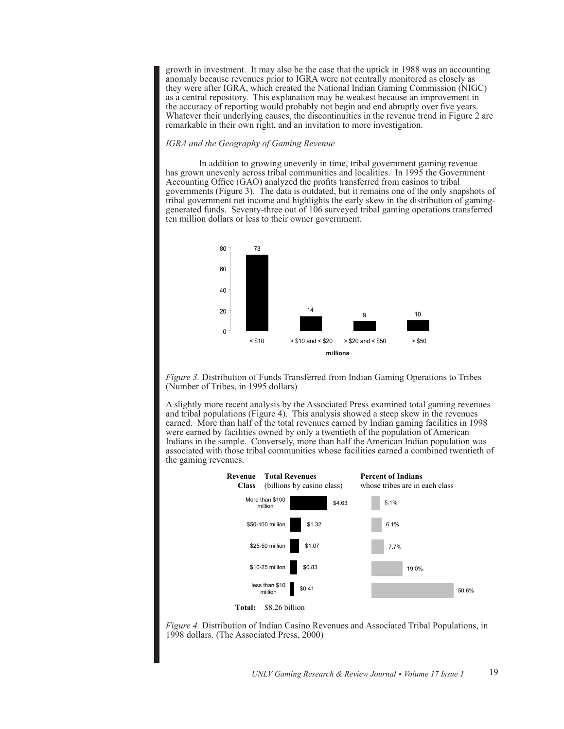growth in investment. It may also be the case that the uptick in 1988 was an accounting anomaly because revenues prior to IGRA were not centrally monitored as closely as they were after IGRA, which created the National Indian Gaming Commission (NIGC) as a central repository. This explanation may be weakest because an improvement in the accuracy of reporting would probably not begin and end abruptly over five years. Whatever their underlying causes, the discontinuities in the revenue trend in Figure 2 are remarkable in their own right, and an invitation to more investigation.

# *IGRA and the Geography of Gaming Revenue*

In addition to growing unevenly in time, tribal government gaming revenue has grown unevenly across tribal communities and localities. In 1995 the Government Accounting Office (GAO) analyzed the profits transferred from casinos to tribal governments (Figure 3). The data is outdated, but it remains one of the only snapshots of tribal government net income and highlights the early skew in the distribution of gaminggenerated funds. Seventy-three out of 106 surveyed tribal gaming operations transferred ten million dollars or less to their owner government.



*Figure 3.* Distribution of Funds Transferred from Indian Gaming Operations to Tribes (Number of Tribes, in 1995 dollars)

A slightly more recent analysis by the Associated Press examined total gaming revenues and tribal populations (Figure 4). This analysis showed a steep skew in the revenues earned. More than half of the total revenues earned by Indian gaming facilities in 1998 were earned by facilities owned by only a twentieth of the population of American Indians in the sample. Conversely, more than half the American Indian population was associated with those tribal communities whose facilities earned a combined twentieth of the gaming revenues.



*Figure 4.* Distribution of Indian Casino Revenues and Associated Tribal Populations, in 1998 dollars. (The Associated Press, 2000)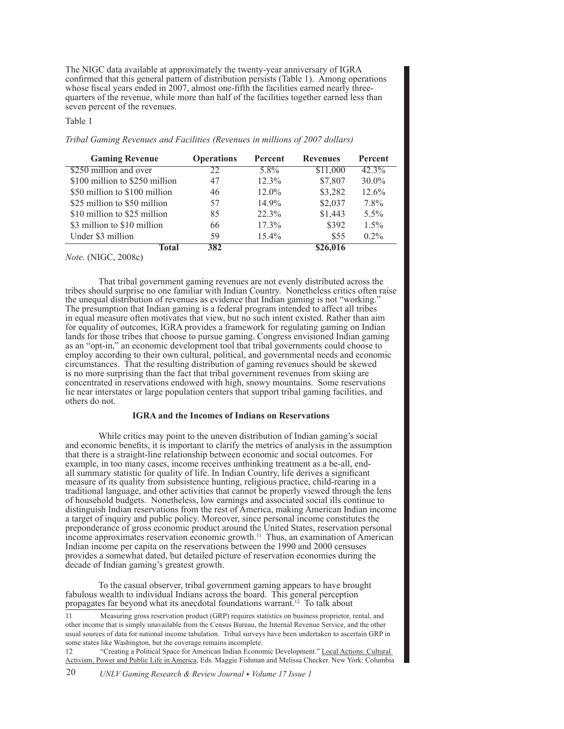The NIGC data available at approximately the twenty-year anniversary of IGRA confirmed that this general pattern of distribution persists (Table 1). Among operations whose fiscal years ended in 2007, almost one-fifth the facilities earned nearly threequarters of the revenue, while more than half of the facilities together earned less than seven percent of the revenues.

# Table 1

*Tribal Gaming Revenues and Facilities (Revenues in millions of 2007 dollars)*

| <b>Gaming Revenue</b>          | <b>Operations</b> | Percent  | <b>Revenues</b> | Percent  |
|--------------------------------|-------------------|----------|-----------------|----------|
| \$250 million and over         | 22                | $5.8\%$  | \$11,000        | 42.3%    |
| \$100 million to \$250 million | 47                | 12.3%    | \$7,807         | $30.0\%$ |
| \$50 million to \$100 million  | 46                | 12.0%    | \$3,282         | 12.6%    |
| \$25 million to \$50 million   | 57                | 14.9%    | \$2,037         | 7.8%     |
| \$10 million to \$25 million   | 85                | 22.3%    | \$1,443         | $5.5\%$  |
| \$3 million to \$10 million    | 66                | $17.3\%$ | \$392           | $1.5\%$  |
| Under \$3 million              | 59                | 15.4%    | \$55            | $0.2\%$  |
| Fotal                          | 382               |          |                 |          |

*Note*. (NIGC, 2008c)

That tribal government gaming revenues are not evenly distributed across the tribes should surprise no one familiar with Indian Country. Nonetheless critics often raise the unequal distribution of revenues as evidence that Indian gaming is not "working." The presumption that Indian gaming is a federal program intended to affect all tribes in equal measure often motivates that view, but no such intent existed. Rather than aim for equality of outcomes, IGRA provides a framework for regulating gaming on Indian lands for those tribes that choose to pursue gaming. Congress envisioned Indian gaming as an "opt-in," an economic development tool that tribal governments could choose to employ according to their own cultural, political, and governmental needs and economic circumstances. That the resulting distribution of gaming revenues should be skewed is no more surprising than the fact that tribal government revenues from skiing are concentrated in reservations endowed with high, snowy mountains. Some reservations lie near interstates or large population centers that support tribal gaming facilities, and others do not.

#### **IGRA and the Incomes of Indians on Reservations**

While critics may point to the uneven distribution of Indian gaming's social and economic benefits, it is important to clarify the metrics of analysis in the assumption that there is a straight-line relationship between economic and social outcomes. For example, in too many cases, income receives unthinking treatment as a be-all, endall summary statistic for quality of life. In Indian Country, life derives a significant measure of its quality from subsistence hunting, religious practice, child-rearing in a traditional language, and other activities that cannot be properly viewed through the lens of household budgets. Nonetheless, low earnings and associated social ills continue to distinguish Indian reservations from the rest of America, making American Indian income a target of inquiry and public policy. Moreover, since personal income constitutes the preponderance of gross economic product around the United States, reservation personal income approximates reservation economic growth.<sup>11</sup> Thus, an examination of American Indian income per capita on the reservations between the 1990 and 2000 censuses provides a somewhat dated, but detailed picture of reservation economies during the decade of Indian gaming's greatest growth.

To the casual observer, tribal government gaming appears to have brought fabulous wealth to individual Indians across the board. This general perception propagates far beyond what its anecdotal foundations warrant.12 To talk about

11 Measuring gross reservation product (GRP) requires statistics on business proprietor, rental, and other income that is simply unavailable from the Census Bureau, the Internal Revenue Service, and the other usual sources of data for national income tabulation. Tribal surveys have been undertaken to ascertain GRP in some states like Washington, but the coverage remains incomplete.

12 "Creating a Political Space for American Indian Economic Development." Local Actions: Cultural Activism, Power and Public Life in America, Eds. Maggie Fishman and Melissa Checker. New York: Columbia

20 *UNLV Gaming Research & Review Journal • Volume 17 Issue 1*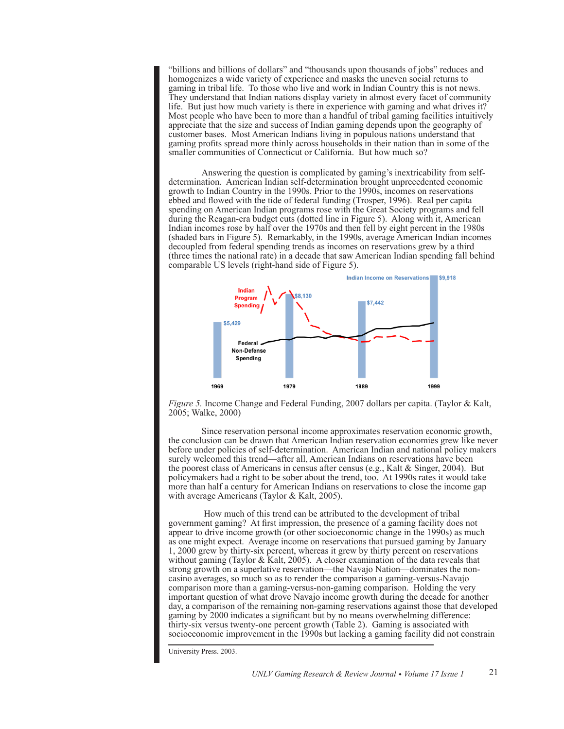"billions and billions of dollars" and "thousands upon thousands of jobs" reduces and homogenizes a wide variety of experience and masks the uneven social returns to gaming in tribal life. To those who live and work in Indian Country this is not news. They understand that Indian nations display variety in almost every facet of community life. But just how much variety is there in experience with gaming and what drives it? Most people who have been to more than a handful of tribal gaming facilities intuitively appreciate that the size and success of Indian gaming depends upon the geography of customer bases. Most American Indians living in populous nations understand that gaming profits spread more thinly across households in their nation than in some of the smaller communities of Connecticut or California. But how much so?

Answering the question is complicated by gaming's inextricability from selfdetermination. American Indian self-determination brought unprecedented economic growth to Indian Country in the 1990s. Prior to the 1990s, incomes on reservations ebbed and flowed with the tide of federal funding (Trosper, 1996). Real per capita spending on American Indian programs rose with the Great Society programs and fell during the Reagan-era budget cuts (dotted line in Figure 5). Along with it, American Indian incomes rose by half over the 1970s and then fell by eight percent in the 1980s (shaded bars in Figure 5). Remarkably, in the 1990s, average American Indian incomes decoupled from federal spending trends as incomes on reservations grew by a third (three times the national rate) in a decade that saw American Indian spending fall behind comparable US levels (right-hand side of Figure 5).



*Figure 5.* Income Change and Federal Funding, 2007 dollars per capita. (Taylor & Kalt, 2005; Walke, 2000)

Since reservation personal income approximates reservation economic growth, the conclusion can be drawn that American Indian reservation economies grew like never before under policies of self-determination. American Indian and national policy makers surely welcomed this trend—after all, American Indians on reservations have been the poorest class of Americans in census after census (e.g., Kalt & Singer, 2004). But policymakers had a right to be sober about the trend, too. At 1990s rates it would take more than half a century for American Indians on reservations to close the income gap with average Americans (Taylor & Kalt, 2005).

 How much of this trend can be attributed to the development of tribal government gaming? At first impression, the presence of a gaming facility does not appear to drive income growth (or other socioeconomic change in the 1990s) as much as one might expect. Average income on reservations that pursued gaming by January 1, 2000 grew by thirty-six percent, whereas it grew by thirty percent on reservations without gaming (Taylor & Kalt, 2005). A closer examination of the data reveals that strong growth on a superlative reservation—the Navajo Nation—dominates the noncasino averages, so much so as to render the comparison a gaming-versus-Navajo comparison more than a gaming-versus-non-gaming comparison. Holding the very important question of what drove Navajo income growth during the decade for another day, a comparison of the remaining non-gaming reservations against those that developed gaming by 2000 indicates a significant but by no means overwhelming difference: thirty-six versus twenty-one percent growth (Table 2). Gaming is associated with socioeconomic improvement in the 1990s but lacking a gaming facility did not constrain

University Press. 2003.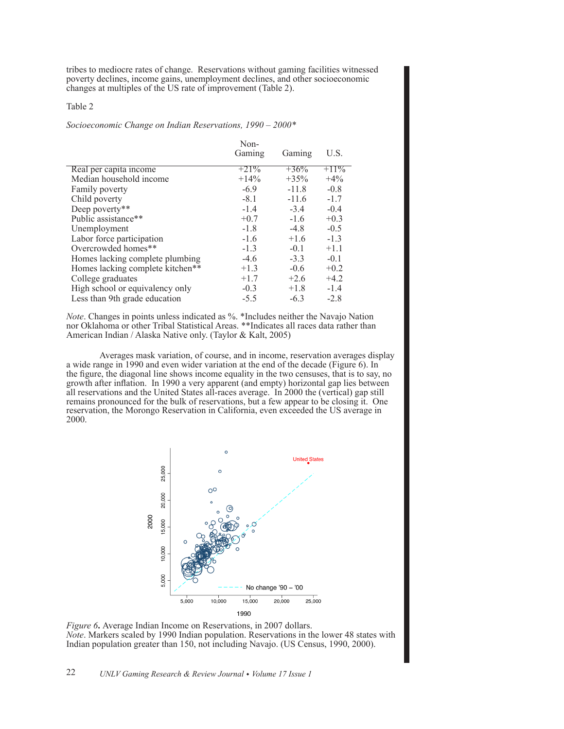tribes to mediocre rates of change. Reservations without gaming facilities witnessed poverty declines, income gains, unemployment declines, and other socioeconomic changes at multiples of the US rate of improvement (Table 2).

# Table 2

#### *Socioeconomic Change on Indian Reservations, 1990 – 2000\**

|                                  | Non-    |         |         |
|----------------------------------|---------|---------|---------|
|                                  | Gaming  | Gaming  | U.S.    |
| Real per capita income           | $+21\%$ | $+36%$  | $+11\%$ |
| Median household income          | $+14\%$ | $+35%$  | $+4\%$  |
| Family poverty                   | $-6.9$  | $-11.8$ | $-0.8$  |
| Child poverty                    | $-8.1$  | $-11.6$ | $-1.7$  |
| Deep poverty**                   | $-1.4$  | $-3.4$  | $-0.4$  |
| Public assistance**              | $+0.7$  | $-1.6$  | $+0.3$  |
| Unemployment                     | $-1.8$  | $-4.8$  | $-0.5$  |
| Labor force participation        | $-1.6$  | $+1.6$  | $-1.3$  |
| Overcrowded homes**              | $-1.3$  | $-0.1$  | $+1.1$  |
| Homes lacking complete plumbing  | $-4.6$  | $-3.3$  | $-0.1$  |
| Homes lacking complete kitchen** | $+1.3$  | $-0.6$  | $+0.2$  |
| College graduates                | $+1.7$  | $+2.6$  | $+4.2$  |
| High school or equivalency only  | $-0.3$  | $+1.8$  | $-1.4$  |
| Less than 9th grade education    | $-5.5$  | $-6.3$  | $-2.8$  |

*Note*. Changes in points unless indicated as %. \*Includes neither the Navajo Nation nor Oklahoma or other Tribal Statistical Areas. \*\*Indicates all races data rather than American Indian / Alaska Native only. (Taylor & Kalt, 2005)

Averages mask variation, of course, and in income, reservation averages display a wide range in 1990 and even wider variation at the end of the decade (Figure 6). In the figure, the diagonal line shows income equality in the two censuses, that is to say, no growth after inflation. In 1990 a very apparent (and empty) horizontal gap lies between all reservations and the United States all-races average. In 2000 the (vertical) gap still remains pronounced for the bulk of reservations, but a few appear to be closing it. One reservation, the Morongo Reservation in California, even exceeded the US average in 2000.



*Figure 6***.** Average Indian Income on Reservations, in 2007 dollars. *Note*. Markers scaled by 1990 Indian population. Reservations in the lower 48 states with Indian population greater than 150, not including Navajo. (US Census, 1990, 2000).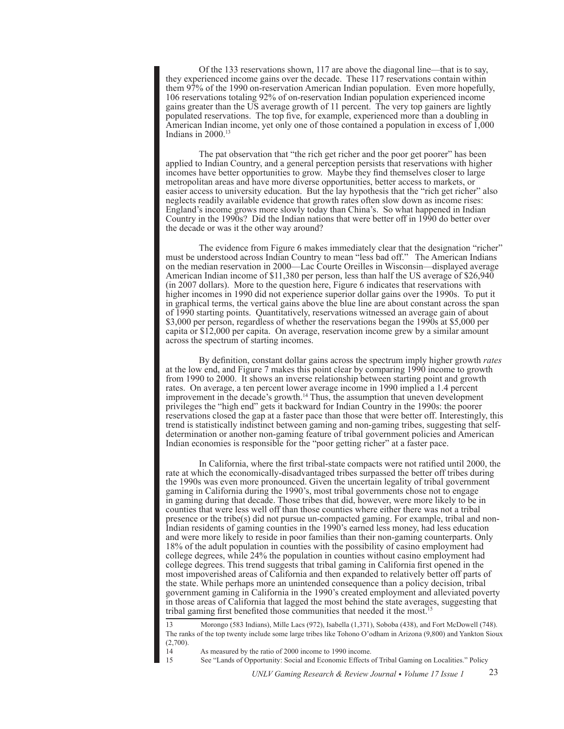Of the 133 reservations shown, 117 are above the diagonal line—that is to say, they experienced income gains over the decade. These 117 reservations contain within them 97% of the 1990 on-reservation American Indian population. Even more hopefully, 106 reservations totaling 92% of on-reservation Indian population experienced income gains greater than the US average growth of 11 percent. The very top gainers are lightly populated reservations. The top five, for example, experienced more than a doubling in American Indian income, yet only one of those contained a population in excess of 1,000 Indians in  $2000$ .<sup>13</sup>

The pat observation that "the rich get richer and the poor get poorer" has been applied to Indian Country, and a general perception persists that reservations with higher incomes have better opportunities to grow. Maybe they find themselves closer to large metropolitan areas and have more diverse opportunities, better access to markets, or easier access to university education. But the lay hypothesis that the "rich get richer" also neglects readily available evidence that growth rates often slow down as income rises: England's income grows more slowly today than China's. So what happened in Indian Country in the 1990s? Did the Indian nations that were better off in 1990 do better over the decade or was it the other way around?

The evidence from Figure 6 makes immediately clear that the designation "richer" must be understood across Indian Country to mean "less bad off." The American Indians on the median reservation in 2000—Lac Courte Oreilles in Wisconsin—displayed average American Indian income of \$11,380 per person, less than half the US average of \$26,940 (in 2007 dollars). More to the question here, Figure 6 indicates that reservations with higher incomes in 1990 did not experience superior dollar gains over the 1990s. To put it in graphical terms, the vertical gains above the blue line are about constant across the span of 1990 starting points. Quantitatively, reservations witnessed an average gain of about \$3,000 per person, regardless of whether the reservations began the 1990s at \$5,000 per capita or \$12,000 per capita. On average, reservation income grew by a similar amount across the spectrum of starting incomes.

By definition, constant dollar gains across the spectrum imply higher growth *rates* at the low end, and Figure 7 makes this point clear by comparing 1990 income to growth from 1990 to 2000. It shows an inverse relationship between starting point and growth rates. On average, a ten percent lower average income in 1990 implied a 1.4 percent improvement in the decade's growth.<sup>14</sup> Thus, the assumption that uneven development privileges the "high end" gets it backward for Indian Country in the 1990s: the poorer reservations closed the gap at a faster pace than those that were better off. Interestingly, this trend is statistically indistinct between gaming and non-gaming tribes, suggesting that selfdetermination or another non-gaming feature of tribal government policies and American Indian economies is responsible for the "poor getting richer" at a faster pace.

In California, where the first tribal-state compacts were not ratified until 2000, the rate at which the economically-disadvantaged tribes surpassed the better off tribes during the 1990s was even more pronounced. Given the uncertain legality of tribal government gaming in California during the 1990's, most tribal governments chose not to engage in gaming during that decade. Those tribes that did, however, were more likely to be in counties that were less well off than those counties where either there was not a tribal presence or the tribe(s) did not pursue un-compacted gaming. For example, tribal and non-Indian residents of gaming counties in the 1990's earned less money, had less education and were more likely to reside in poor families than their non-gaming counterparts. Only 18% of the adult population in counties with the possibility of casino employment had college degrees, while 24% the population in counties without casino employment had college degrees. This trend suggests that tribal gaming in California first opened in the most impoverished areas of California and then expanded to relatively better off parts of the state. While perhaps more an unintended consequence than a policy decision, tribal government gaming in California in the 1990's created employment and alleviated poverty in those areas of California that lagged the most behind the state averages, suggesting that tribal gaming first benefited those communities that needed it the most.<sup>15</sup>

13 Morongo (583 Indians), Mille Lacs (972), Isabella (1,371), Soboba (438), and Fort McDowell (748). The ranks of the top twenty include some large tribes like Tohono O'odham in Arizona (9,800) and Yankton Sioux  $(2,700)$ .

14 As measured by the ratio of 2000 income to 1990 income.

15 See "Lands of Opportunity: Social and Economic Effects of Tribal Gaming on Localities." Policy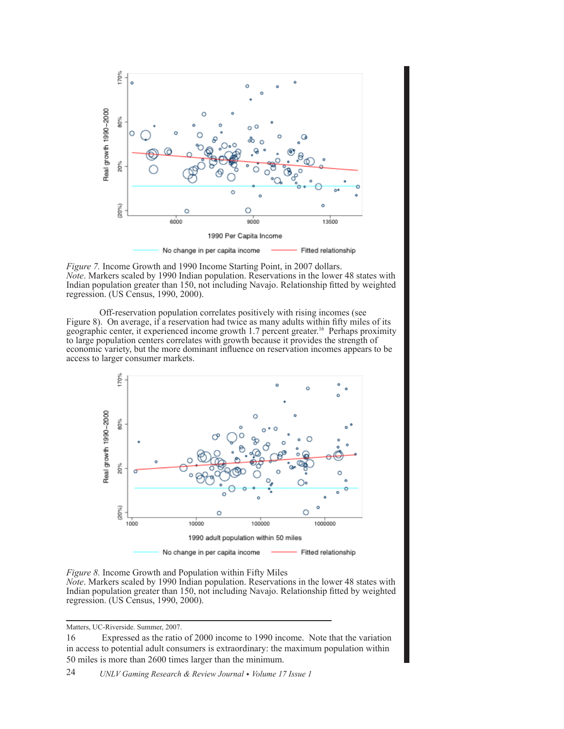

*Figure 7.* Income Growth and 1990 Income Starting Point, in 2007 dollars. *Note*. Markers scaled by 1990 Indian population. Reservations in the lower 48 states with Indian population greater than 150, not including Navajo. Relationship fitted by weighted regression. (US Census, 1990, 2000).

Off-reservation population correlates positively with rising incomes (see Figure 8). On average, if a reservation had twice as many adults within fifty miles of its geographic center, it experienced income growth 1.7 percent greater.16 Perhaps proximity to large population centers correlates with growth because it provides the strength of economic variety, but the more dominant influence on reservation incomes appears to be access to larger consumer markets.





Matters, UC-Riverside. Summer, 2007.

<sup>16</sup> Expressed as the ratio of 2000 income to 1990 income. Note that the variation in access to potential adult consumers is extraordinary: the maximum population within 50 miles is more than 2600 times larger than the minimum.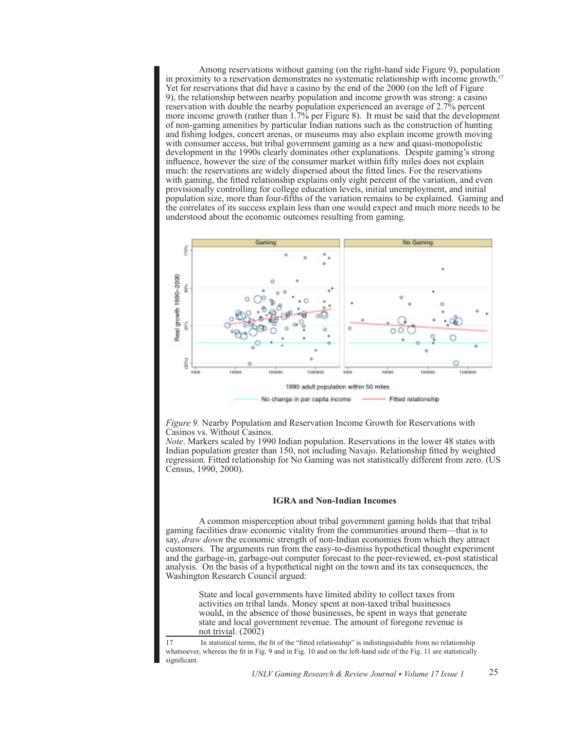Among reservations without gaming (on the right-hand side Figure 9), population in proximity to a reservation demonstrates no systematic relationship with income growth.<sup>17</sup> Yet for reservations that did have a casino by the end of the 2000 (on the left of Figure 9), the relationship between nearby population and income growth was strong: a casino reservation with double the nearby population experienced an average of 2.7% percent more income growth (rather than 1.7% per Figure 8). It must be said that the development of non-gaming amenities by particular Indian nations such as the construction of hunting and fishing lodges, concert arenas, or museums may also explain income growth moving with consumer access, but tribal government gaming as a new and quasi-monopolistic development in the 1990s clearly dominates other explanations. Despite gaming's strong influence, however the size of the consumer market within fifty miles does not explain much: the reservations are widely dispersed about the fitted lines. For the reservations with gaming, the fitted relationship explains only eight percent of the variation, and even provisionally controlling for college education levels, initial unemployment, and initial population size, more than four-fifths of the variation remains to be explained. Gaming and the correlates of its success explain less than one would expect and much more needs to be understood about the economic outcomes resulting from gaming.



*Figure 9.* Nearby Population and Reservation Income Growth for Reservations with Casinos vs. Without Casinos.

*Note*. Markers scaled by 1990 Indian population. Reservations in the lower 48 states with Indian population greater than 150, not including Navajo. Relationship fitted by weighted regression. Fitted relationship for No Gaming was not statistically different from zero. (US Census, 1990, 2000).

# **IGRA and Non-Indian Incomes**

A common misperception about tribal government gaming holds that that tribal gaming facilities draw economic vitality from the communities around them—that is to say, *draw down* the economic strength of non-Indian economies from which they attract customers. The arguments run from the easy-to-dismiss hypothetical thought experiment and the garbage-in, garbage-out computer forecast to the peer-reviewed, ex-post statistical analysis. On the basis of a hypothetical night on the town and its tax consequences, the Washington Research Council argued:

> State and local governments have limited ability to collect taxes from activities on tribal lands. Money spent at non-taxed tribal businesses would, in the absence of those businesses, be spent in ways that generate state and local government revenue. The amount of foregone revenue is not trivial.  $(2002)$

17 In statistical terms, the fit of the "fitted relationship" is indistinguishable from no relationship whatsoever, whereas the fit in Fig. 9 and in Fig. 10 and on the left-hand side of the Fig. 11 are statistically significant.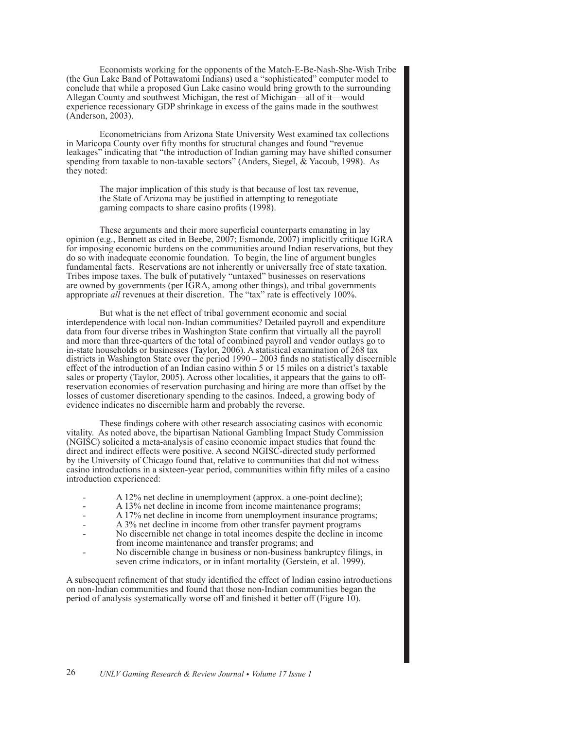Economists working for the opponents of the Match-E-Be-Nash-She-Wish Tribe (the Gun Lake Band of Pottawatomi Indians) used a "sophisticated" computer model to conclude that while a proposed Gun Lake casino would bring growth to the surrounding Allegan County and southwest Michigan, the rest of Michigan—all of it—would experience recessionary GDP shrinkage in excess of the gains made in the southwest (Anderson, 2003).

Econometricians from Arizona State University West examined tax collections in Maricopa County over fifty months for structural changes and found "revenue leakages" indicating that "the introduction of Indian gaming may have shifted consumer spending from taxable to non-taxable sectors" (Anders, Siegel, & Yacoub, 1998). As they noted:

> The major implication of this study is that because of lost tax revenue, the State of Arizona may be justified in attempting to renegotiate gaming compacts to share casino profits (1998).

These arguments and their more superficial counterparts emanating in lay opinion (e.g., Bennett as cited in Beebe, 2007; Esmonde, 2007) implicitly critique IGRA for imposing economic burdens on the communities around Indian reservations, but they do so with inadequate economic foundation. To begin, the line of argument bungles fundamental facts. Reservations are not inherently or universally free of state taxation. Tribes impose taxes. The bulk of putatively "untaxed" businesses on reservations are owned by governments (per IGRA, among other things), and tribal governments appropriate *all* revenues at their discretion. The "tax" rate is effectively 100%.

But what is the net effect of tribal government economic and social interdependence with local non-Indian communities? Detailed payroll and expenditure data from four diverse tribes in Washington State confirm that virtually all the payroll and more than three-quarters of the total of combined payroll and vendor outlays go to in-state households or businesses (Taylor, 2006). A statistical examination of 268 tax districts in Washington State over the period 1990 – 2003 finds no statistically discernible effect of the introduction of an Indian casino within 5 or 15 miles on a district's taxable sales or property (Taylor, 2005). Across other localities, it appears that the gains to offreservation economies of reservation purchasing and hiring are more than offset by the losses of customer discretionary spending to the casinos. Indeed, a growing body of evidence indicates no discernible harm and probably the reverse.

These findings cohere with other research associating casinos with economic vitality. As noted above, the bipartisan National Gambling Impact Study Commission (NGISC) solicited a meta-analysis of casino economic impact studies that found the direct and indirect effects were positive. A second NGISC-directed study performed by the University of Chicago found that, relative to communities that did not witness casino introductions in a sixteen-year period, communities within fifty miles of a casino introduction experienced:

- A 12% net decline in unemployment (approx. a one-point decline);
- A 13% net decline in income from income maintenance programs;
- A 17% net decline in income from unemployment insurance programs;
- A 3% net decline in income from other transfer payment programs
- No discernible net change in total incomes despite the decline in income from income maintenance and transfer programs; and
- No discernible change in business or non-business bankruptcy filings, in seven crime indicators, or in infant mortality (Gerstein, et al. 1999).

A subsequent refinement of that study identified the effect of Indian casino introductions on non-Indian communities and found that those non-Indian communities began the period of analysis systematically worse off and finished it better off (Figure 10).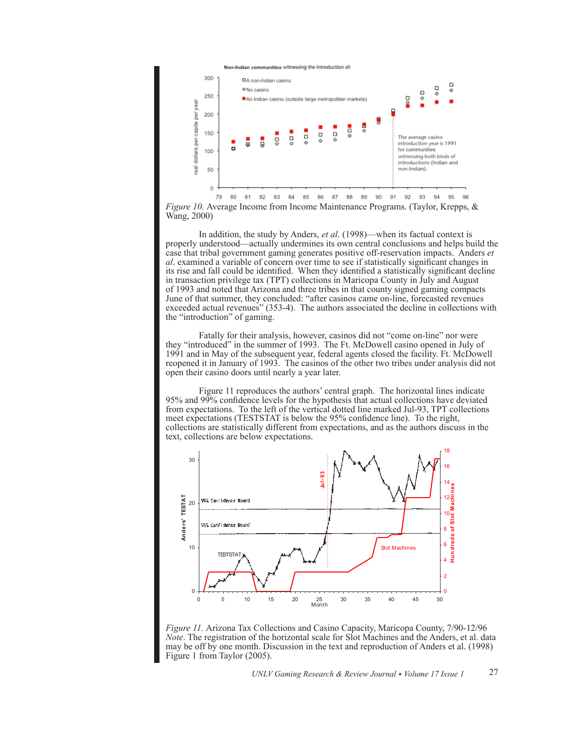

*Figure 10.* Average Income from Income Maintenance Programs. (Taylor, Krepps, & Wang, 2000)

In addition, the study by Anders, *et al.* (1998)—when its factual context is properly understood—actually undermines its own central conclusions and helps build the case that tribal government gaming generates positive off-reservation impacts. Anders *et al*. examined a variable of concern over time to see if statistically significant changes in its rise and fall could be identified. When they identified a statistically significant decline in transaction privilege tax (TPT) collections in Maricopa County in July and August of 1993 and noted that Arizona and three tribes in that county signed gaming compacts June of that summer, they concluded: "after casinos came on-line, forecasted revenues exceeded actual revenues" (353-4). The authors associated the decline in collections with the "introduction" of gaming.

Fatally for their analysis, however, casinos did not "come on-line" nor were they "introduced" in the summer of 1993. The Ft. McDowell casino opened in July of 1991 and in May of the subsequent year, federal agents closed the facility. Ft. McDowell reopened it in January of 1993. The casinos of the other two tribes under analysis did not open their casino doors until nearly a year later.

Figure 11 reproduces the authors' central graph. The horizontal lines indicate 95% and 99% confidence levels for the hypothesis that actual collections have deviated from expectations. To the left of the vertical dotted line marked Jul-93, TPT collections meet expectations (TESTSTAT is below the 95% confidence line). To the right, collections are statistically different from expectations, and as the authors discuss in the text, collections are below expectations.



*Figure 11.* Arizona Tax Collections and Casino Capacity, Maricopa County, 7/90-12/96 *Note*. The registration of the horizontal scale for Slot Machines and the Anders, et al. data may be off by one month. Discussion in the text and reproduction of Anders et al. (1998) Figure 1 from Taylor (2005).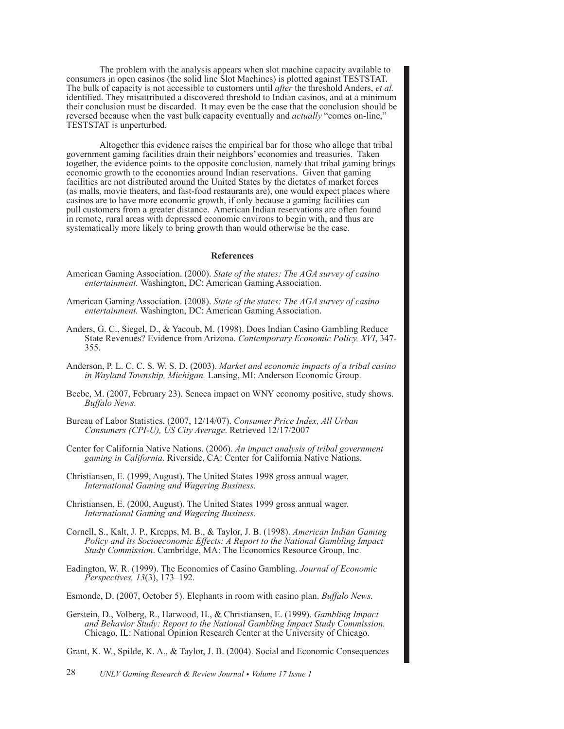The problem with the analysis appears when slot machine capacity available to consumers in open casinos (the solid line Slot Machines) is plotted against TESTSTAT. The bulk of capacity is not accessible to customers until *after* the threshold Anders, *et al.* identified. They misattributed a discovered threshold to Indian casinos, and at a minimum their conclusion must be discarded. It may even be the case that the conclusion should be reversed because when the vast bulk capacity eventually and *actually* "comes on-line," TESTSTAT is unperturbed.

Altogether this evidence raises the empirical bar for those who allege that tribal government gaming facilities drain their neighbors' economies and treasuries. Taken together, the evidence points to the opposite conclusion, namely that tribal gaming brings economic growth to the economies around Indian reservations. Given that gaming facilities are not distributed around the United States by the dictates of market forces (as malls, movie theaters, and fast-food restaurants are), one would expect places where casinos are to have more economic growth, if only because a gaming facilities can pull customers from a greater distance. American Indian reservations are often found in remote, rural areas with depressed economic environs to begin with, and thus are systematically more likely to bring growth than would otherwise be the case.

#### **References**

- American Gaming Association. (2000). *State of the states: The AGA survey of casino entertainment.* Washington, DC: American Gaming Association.
- American Gaming Association. (2008). *State of the states: The AGA survey of casino entertainment.* Washington, DC: American Gaming Association.
- Anders, G. C., Siegel, D., & Yacoub, M. (1998). Does Indian Casino Gambling Reduce State Revenues? Evidence from Arizona. *Contemporary Economic Policy, XVI*, 347- 355.
- Anderson, P. L. C. C. S. W. S. D. (2003). *Market and economic impacts of a tribal casino in Wayland Township, Michigan.* Lansing, MI: Anderson Economic Group.
- Beebe, M. (2007, February 23). Seneca impact on WNY economy positive, study shows. *Buffalo News.*
- Bureau of Labor Statistics. (2007, 12/14/07). *Consumer Price Index, All Urban Consumers (CPI-U), US City Average*. Retrieved 12/17/2007
- Center for California Native Nations. (2006). *An impact analysis of tribal government gaming in California*. Riverside, CA: Center for California Native Nations.
- Christiansen, E. (1999, August). The United States 1998 gross annual wager. *International Gaming and Wagering Business.*
- Christiansen, E. (2000, August). The United States 1999 gross annual wager. *International Gaming and Wagering Business.*
- Cornell, S., Kalt, J. P., Krepps, M. B., & Taylor, J. B. (1998). *American Indian Gaming Policy and its Socioeconomic Effects: A Report to the National Gambling Impact Study Commission*. Cambridge, MA: The Economics Resource Group, Inc.
- Eadington, W. R. (1999). The Economics of Casino Gambling. *Journal of Economic Perspectives, 13*(3), 173–192.
- Esmonde, D. (2007, October 5). Elephants in room with casino plan. *Buffalo News.*
- Gerstein, D., Volberg, R., Harwood, H., & Christiansen, E. (1999). *Gambling Impact and Behavior Study: Report to the National Gambling Impact Study Commission.*  Chicago, IL: National Opinion Research Center at the University of Chicago.
- Grant, K. W., Spilde, K. A., & Taylor, J. B. (2004). Social and Economic Consequences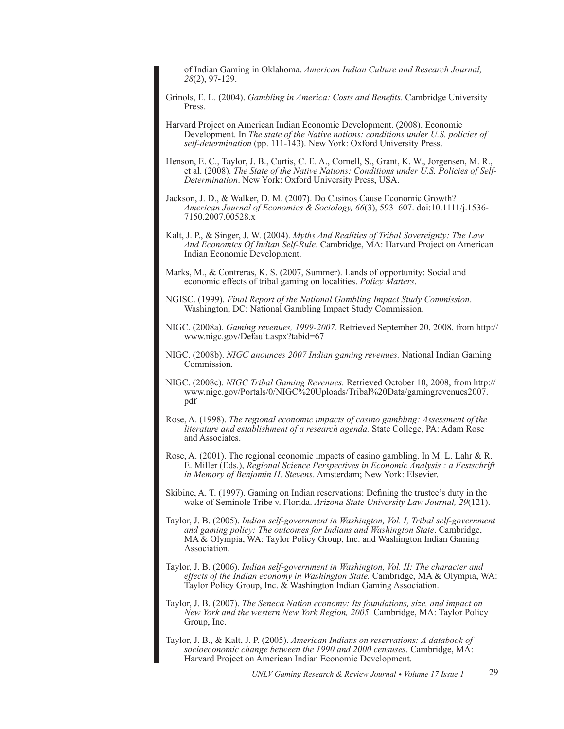of Indian Gaming in Oklahoma. *American Indian Culture and Research Journal, 28*(2), 97-129.

- Grinols, E. L. (2004). *Gambling in America: Costs and Benefits*. Cambridge University Press.
- Harvard Project on American Indian Economic Development. (2008). Economic Development. In *The state of the Native nations: conditions under U.S. policies of self-determination* (pp. 111-143). New York: Oxford University Press.

Henson, E. C., Taylor, J. B., Curtis, C. E. A., Cornell, S., Grant, K. W., Jorgensen, M. R., et al. (2008). *The State of the Native Nations: Conditions under U.S. Policies of Self-Determination*. New York: Oxford University Press, USA.

- Jackson, J. D., & Walker, D. M. (2007). Do Casinos Cause Economic Growth? *American Journal of Economics & Sociology, 66*(3), 593–607. doi:10.1111/j.1536- 7150.2007.00528.x
- Kalt, J. P., & Singer, J. W. (2004). *Myths And Realities of Tribal Sovereignty: The Law And Economics Of Indian Self-Rule*. Cambridge, MA: Harvard Project on American Indian Economic Development.
- Marks, M., & Contreras, K. S. (2007, Summer). Lands of opportunity: Social and economic effects of tribal gaming on localities. *Policy Matters*.
- NGISC. (1999). *Final Report of the National Gambling Impact Study Commission*. Washington, DC: National Gambling Impact Study Commission.
- NIGC. (2008a). *Gaming revenues, 1999-2007*. Retrieved September 20, 2008, from http:// www.nigc.gov/Default.aspx?tabid=67
- NIGC. (2008b). *NIGC anounces 2007 Indian gaming revenues.* National Indian Gaming Commission.
- NIGC. (2008c). *NIGC Tribal Gaming Revenues.* Retrieved October 10, 2008, from http:// www.nigc.gov/Portals/0/NIGC%20Uploads/Tribal%20Data/gamingrevenues2007. pdf
- Rose, A. (1998). *The regional economic impacts of casino gambling: Assessment of the literature and establishment of a research agenda.* State College, PA: Adam Rose and Associates.
- Rose, A. (2001). The regional economic impacts of casino gambling. In M. L. Lahr & R. E. Miller (Eds.), *Regional Science Perspectives in Economic Analysis : a Festschrift in Memory of Benjamin H. Stevens*. Amsterdam; New York: Elsevier.
- Skibine, A. T. (1997). Gaming on Indian reservations: Defining the trustee's duty in the wake of Seminole Tribe v. Florida. *Arizona State University Law Journal, 29*(121).
- Taylor, J. B. (2005). *Indian self-government in Washington, Vol. I, Tribal self-government and gaming policy: The outcomes for Indians and Washington State*. Cambridge, MA & Olympia, WA: Taylor Policy Group, Inc. and Washington Indian Gaming Association.
- Taylor, J. B. (2006). *Indian self-government in Washington, Vol. II: The character and effects of the Indian economy in Washington State.* Cambridge, MA & Olympia, WA: Taylor Policy Group, Inc. & Washington Indian Gaming Association.
- Taylor, J. B. (2007). *The Seneca Nation economy: Its foundations, size, and impact on New York and the western New York Region, 2005*. Cambridge, MA: Taylor Policy Group, Inc.
- Taylor, J. B., & Kalt, J. P. (2005). *American Indians on reservations: A databook of socioeconomic change between the 1990 and 2000 censuses.* Cambridge, MA: Harvard Project on American Indian Economic Development.